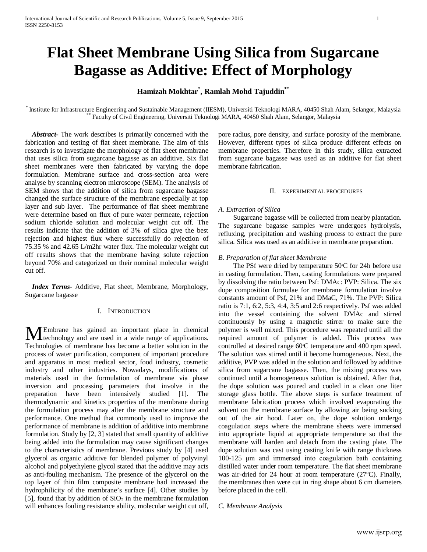# **Flat Sheet Membrane Using Silica from Sugarcane Bagasse as Additive: Effect of Morphology**

# **Hamizah Mokhtar\* , Ramlah Mohd Tajuddin\*\***

Institute for Infrastructure Engineering and Sustainable Management (IIESM), Universiti Teknologi MARA, 40450 Shah Alam, Selangor, Malaysia \*\*\* Faculty of Civil Engineering, Universiti Teknologi MARA, 40450 Shah Alam, Sela

 *Abstract***-** The work describes is primarily concerned with the fabrication and testing of flat sheet membrane. The aim of this research is to investigate the morphology of flat sheet membrane that uses silica from sugarcane bagasse as an additive. Six flat sheet membranes were then fabricated by varying the dope formulation. Membrane surface and cross-section area were analyse by scanning electron microscope (SEM). The analysis of SEM shows that the addition of silica from sugarcane bagasse changed the surface structure of the membrane especially at top layer and sub layer. The performance of flat sheet membrane were determine based on flux of pure water permeate, rejection sodium chloride solution and molecular weight cut off. The results indicate that the addition of 3% of silica give the best rejection and highest flux where successfully do rejection of 75.35 % and 42.65 L/m2hr water flux. The molecular weight cut off results shows that the membrane having solute rejection beyond 70% and categorized on their nominal molecular weight cut off.

 *Index Terms*- Additive, Flat sheet, Membrane, Morphology, Sugarcane bagasse

# I. INTRODUCTION

Embrane has gained an important place in chemical **ME**mbrane has gained an important place in chemical technology and are used in a wide range of applications. Technologies of membrane has become a better solution in the process of water purification, component of important procedure and apparatus in most medical sector, food industry, cosmetic industry and other industries. Nowadays, modifications of materials used in the formulation of membrane via phase inversion and processing parameters that involve in the preparation have been intensively studied [1]. The thermodynamic and kinetics properties of the membrane during the formulation process may alter the membrane structure and performance. One method that commonly used to improve the performance of membrane is addition of additive into membrane formulation. Study by [2, 3] stated that small quantity of additive being added into the formulation may cause significant changes to the characteristics of membrane. Previous study by [4] used glycerol as organic additive for blended polymer of polyvinyl alcohol and polyethylene glycol stated that the additive may acts as anti-fouling mechanism. The presence of the glycerol on the top layer of thin film composite membrane had increased the hydrophilicity of the membrane's surface [4]. Other studies by [5], found that by addition of  $SiO<sub>2</sub>$  in the membrane formulation will enhances fouling resistance ability, molecular weight cut off,

pore radius, pore density, and surface porosity of the membrane. However, different types of silica produce different effects on membrane properties. Therefore in this study, silica extracted from sugarcane bagasse was used as an additive for flat sheet membrane fabrication.

## II. EXPERIMENTAL PROCEDURES

#### *A. Extraction of Silica*

Sugarcane bagasse will be collected from nearby plantation. The sugarcane bagasse samples were undergoes hydrolysis, refluxing, precipitation and washing process to extract the pure silica. Silica was used as an additive in membrane preparation.

## *B. Preparation of flat sheet Membrane*

The PSf were dried by temperature 50°C for 24h before use in casting formulation. Then, casting formulations were prepared by dissolving the ratio between Psf: DMAc: PVP: Silica. The six dope composition formulae for membrane formulation involve constants amount of Psf, 21% and DMaC, 71%. The PVP: Silica ratio is 7:1, 6:2, 5:3, 4:4, 3:5 and 2:6 respectively. Psf was added into the vessel containing the solvent DMAc and stirred continuously by using a magnetic stirrer to make sure the polymer is well mixed. This procedure was repeated until all the required amount of polymer is added. This process was controlled at desired range 60°C temperature and 400 rpm speed. The solution was stirred until it become homogeneous. Next, the additive, PVP was added in the solution and followed by additive silica from sugarcane bagasse. Then, the mixing process was continued until a homogeneous solution is obtained. After that, the dope solution was poured and cooled in a clean one liter storage glass bottle. The above steps is surface treatment of membrane fabrication process which involved evaporating the solvent on the membrane surface by allowing air being sucking out of the air hood. Later on, the dope solution undergo coagulation steps where the membrane sheets were immersed into appropriate liquid at appropriate temperature so that the membrane will harden and detach from the casting plate. The dope solution was cast using casting knife with range thickness 100-125 μm and immersed into coagulation bath containing distilled water under room temperature. The flat sheet membrane was air-dried for 24 hour at room temperature (27ºC). Finally, the membranes then were cut in ring shape about 6 cm diameters before placed in the cell.

*C. Membrane Analysis*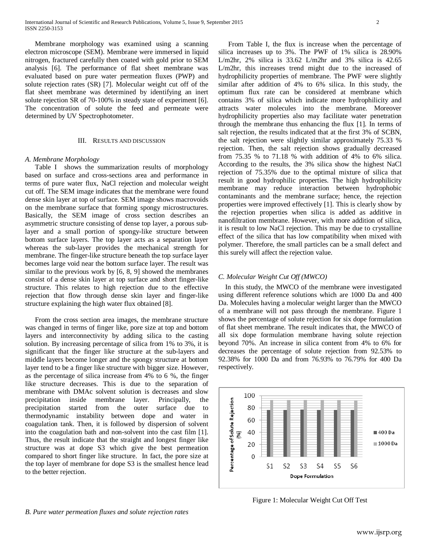Membrane morphology was examined using a scanning electron microscope (SEM). Membrane were immersed in liquid nitrogen, fractured carefully then coated with gold prior to SEM analysis [6]. The performance of flat sheet membrane was evaluated based on pure water permeation fluxes (PWP) and solute rejection rates (SR) [7]. Molecular weight cut off of the flat sheet membrane was determined by identifying an inert solute rejection SR of 70-100% in steady state of experiment [6]. The concentration of solute the feed and permeate were determined by UV Spectrophotometer.

# III. RESULTS AND DISCUSSION

#### *A. Membrane Morphology*

Table I shows the summarization results of morphology based on surface and cross-sections area and performance in terms of pure water flux, NaCl rejection and molecular weight cut off. The SEM image indicates that the membrane were found dense skin layer at top of surface. SEM image shows macrovoids on the membrane surface that forming spongy microstructures. Basically, the SEM image of cross section describes an asymmetric structure consisting of dense top layer, a porous sublayer and a small portion of spongy-like structure between bottom surface layers. The top layer acts as a separation layer whereas the sub-layer provides the mechanical strength for membrane. The finger-like structure beneath the top surface layer becomes large void near the bottom surface layer. The result was similar to the previous work by [6, 8, 9] showed the membranes consist of a dense skin layer at top surface and short finger-like structure. This relates to high rejection due to the effective rejection that flow through dense skin layer and finger-like structure explaining the high water flux obtained [8].

From the cross section area images, the membrane structure was changed in terms of finger like, pore size at top and bottom layers and interconnectivity by adding silica to the casting solution. By increasing percentage of silica from 1% to 3%, it is significant that the finger like structure at the sub-layers and middle layers become longer and the spongy structure at bottom layer tend to be a finger like structure with bigger size. However, as the percentage of silica increase from 4% to 6 %, the finger like structure decreases. This is due to the separation of membrane with DMAc solvent solution is decreases and slow precipitation inside membrane layer. Principally, the precipitation started from the outer surface due to thermodynamic instability between dope and water in coagulation tank. Then, it is followed by dispersion of solvent into the coagulation bath and non-solvent into the cast film [1]. Thus, the result indicate that the straight and longest finger like structure was at dope S3 which give the best permeation compared to short finger like structure. In fact, the pore size at the top layer of membrane for dope S3 is the smallest hence lead to the better rejection.

From Table I, the flux is increase when the percentage of silica increases up to 3%. The PWF of 1% silica is 28.90% L/m2hr, 2% silica is 33.62 L/m2hr and 3% silica is 42.65 L/m2hr, this increases trend might due to the increased of hydrophilicity properties of membrane. The PWF were slightly similar after addition of 4% to 6% silica. In this study, the optimum flux rate can be considered at membrane which contains 3% of silica which indicate more hydrophilicity and attracts water molecules into the membrane. Moreover hydrophilicity properties also may facilitate water penetration through the membrane thus enhancing the flux [1]. In terms of salt rejection, the results indicated that at the first 3% of SCBN, the salt rejection were slightly similar approximately 75.33 % rejection. Then, the salt rejection shows gradually decreased from 75.35 % to 71.18 % with addition of 4% to 6% silica. According to the results, the 3% silica show the highest NaCl rejection of 75.35% due to the optimal mixture of silica that result in good hydrophilic properties. The high hydrophilicity membrane may reduce interaction between hydrophobic contaminants and the membrane surface; hence, the rejection properties were improved effectively [1]. This is clearly show by the rejection properties when silica is added as additive in nanofiltration membrane. However, with more addition of silica, it is result to low NaCl rejection. This may be due to crystalline effect of the silica that has low compatibility when mixed with polymer. Therefore, the small particles can be a small defect and this surely will affect the rejection value.

# *C. Molecular Weight Cut Off (MWCO)*

 In this study, the MWCO of the membrane were investigated using different reference solutions which are 1000 Da and 400 Da. Molecules having a molecular weight larger than the MWCO of a membrane will not pass through the membrane. Figure 1 shows the percentage of solute rejection for six dope formulation of flat sheet membrane. The result indicates that, the MWCO of all six dope formulation membrane having solute rejection beyond 70%. An increase in silica content from 4% to 6% for decreases the percentage of solute rejection from 92.53% to 92.38% for 1000 Da and from 76.93% to 76.79% for 400 Da respectively.



Figure 1: Molecular Weight Cut Off Test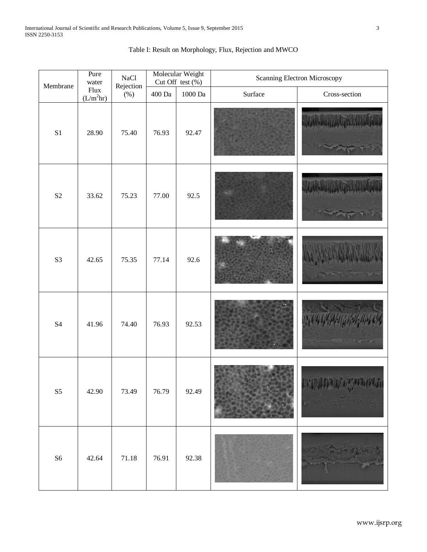| Membrane                   | Pure<br>water<br>Flux<br>$(L/m^2hr)$ | <b>NaCl</b><br>Rejection<br>$(\%)$ | Molecular Weight<br>Cut Off test $(\% )$ |           | Scanning Electron Microscopy |                                                       |
|----------------------------|--------------------------------------|------------------------------------|------------------------------------------|-----------|------------------------------|-------------------------------------------------------|
|                            |                                      |                                    | $400\ \mathrm{Da}$                       | $1000$ Da | Surface                      | Cross-section                                         |
| $\rm S1$                   | 28.90                                | 75.40                              | 76.93                                    | 92.47     |                              |                                                       |
| $\mathbf{S2}$              | 33.62                                | 75.23                              | 77.00                                    | 92.5      |                              |                                                       |
| S <sub>3</sub>             | 42.65                                | 75.35                              | 77.14                                    | 92.6      |                              |                                                       |
| <b>S4</b>                  | 41.96                                | 74.40                              | 76.93                                    | 92.53     |                              |                                                       |
| $\ensuremath{\mathsf{S}}5$ | 42.90                                | 73.49                              | 76.79                                    | 92.49     |                              | <b>Bradid Branch Street Republic</b><br><b>MANUAL</b> |
| ${\sf S6}$                 | 42.64                                | $71.18\,$                          | 76.91                                    | 92.38     |                              |                                                       |

# Table I: Result on Morphology, Flux, Rejection and MWCO